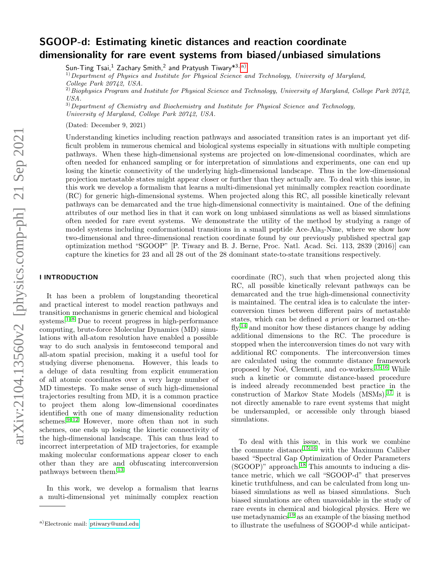# SGOOP-d: Estimating kinetic distances and reaction coordinate dimensionality for rare event systems from biased/unbiased simulations

Sun-Ting Tsai, $^1$  Zachary Smith, $^2$  and Pratyush Tiwary $^{\ast 3,\,\mathrm{a)}}$  $^{\ast 3,\,\mathrm{a)}}$  $^{\ast 3,\,\mathrm{a)}}$ 

<sup>1)</sup>Department of Physics and Institute for Physical Science and Technology, University of Maryland,

College Park 20742, USA.

 $^{2)}$ Biophysics Program and Institute for Physical Science and Technology, University of Maryland, College Park 20742, USA.

 $3)$ Department of Chemistry and Biochemistry and Institute for Physical Science and Technology, University of Maryland, College Park 20742, USA.

(Dated: December 9, 2021)

Understanding kinetics including reaction pathways and associated transition rates is an important yet difficult problem in numerous chemical and biological systems especially in situations with multiple competing pathways. When these high-dimensional systems are projected on low-dimensional coordinates, which are often needed for enhanced sampling or for interpretation of simulations and experiments, one can end up losing the kinetic connectivity of the underlying high-dimensional landscape. Thus in the low-dimensional projection metastable states might appear closer or further than they actually are. To deal with this issue, in this work we develop a formalism that learns a multi-dimensional yet minimally complex reaction coordinate (RC) for generic high-dimensional systems. When projected along this RC, all possible kinetically relevant pathways can be demarcated and the true high-dimensional connectivity is maintained. One of the defining attributes of our method lies in that it can work on long unbiased simulations as well as biased simulations often needed for rare event systems. We demonstrate the utility of the method by studying a range of model systems including conformational transitions in a small peptide Ace-Ala<sub>3</sub>-Nme, where we show how two-dimensional and three-dimensional reaction coordinate found by our previously published spectral gap optimization method "SGOOP" [P. Tiwary and B. J. Berne, Proc. Natl. Acad. Sci. 113, 2839 (2016)] can capture the kinetics for 23 and all 28 out of the 28 dominant state-to-state transitions respectively.

# I INTRODUCTION

It has been a problem of longstanding theoretical and practical interest to model reaction pathways and transition mechanisms in generic chemical and biological systems. $1-8$  $1-8$  Due to recent progress in high-performance computing, brute-force Molecular Dynamics (MD) simulations with all-atom resolution have enabled a possible way to do such analysis in femtosecond temporal and all-atom spatial precision, making it a useful tool for studying diverse phenomena. However, this leads to a deluge of data resulting from explicit enumeration of all atomic coordinates over a very large number of MD timesteps. To make sense of such high-dimensional trajectories resulting from MD, it is a common practice to project them along low-dimensional coordinates identified with one of many dimensionality reduction schemes. $9-12$  $9-12$  However, more often than not in such schemes, one ends up losing the kinetic connectivity of the high-dimensional landscape. This can thus lead to incorrect interpretation of MD trajectories, for example making molecular conformations appear closer to each other than they are and obfuscating interconversion pathways between them.[13](#page-9-4)

In this work, we develop a formalism that learns a multi-dimensional yet minimally complex reaction

coordinate (RC), such that when projected along this RC, all possible kinetically relevant pathways can be demarcated and the true high-dimensional connectivity is maintained. The central idea is to calculate the interconversion times between different pairs of metastable states, which can be defined a priori or learned on-the- $fly<sub>14</sub>$  $fly<sub>14</sub>$  $fly<sub>14</sub>$  and monitor how these distances change by adding additional dimensions to the RC. The procedure is stopped when the interconversion times do not vary with additional RC components. The interconversion times are calculated using the commute distance framework proposed by Noé, Clementi, and co-workers.<sup>[15,](#page-9-6)[16](#page-9-7)</sup> While such a kinetic or commute distance-based procedure is indeed already recommended best practice in the construction of Markov State Models  $(MSMs),<sup>17</sup>$  $(MSMs),<sup>17</sup>$  $(MSMs),<sup>17</sup>$  it is not directly amenable to rare event systems that might be undersampled, or accessible only through biased simulations.

To deal with this issue, in this work we combine the commute distance[15,](#page-9-6)[16](#page-9-7) with the Maximum Caliber based "Spectral Gap Optimization of Order Parameters  $(SGOOD)$ " approach.<sup>[18](#page-9-9)</sup> This amounts to inducing a distance metric, which we call "SGOOP-d" that preserves kinetic truthfulness, and can be calculated from long unbiased simulations as well as biased simulations. Such biased simulations are often unavoidable in the study of rare events in chemical and biological physics. Here we use metadynamics<sup>[19](#page-9-10)</sup> as an example of the biasing method to illustrate the usefulness of SGOOP-d while anticipat-

<span id="page-0-0"></span>a)Electronic mail: [ptiwary@umd.edu](mailto:ptiwary@umd.edu)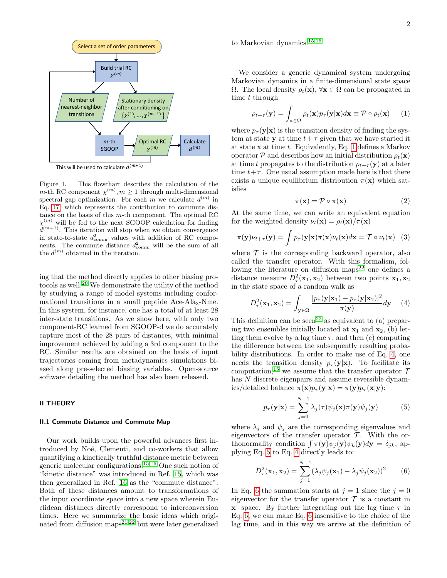

<span id="page-1-6"></span>Figure 1. This flowchart describes the calculation of the m-th RC component  $\chi^{(m)}$ ,  $m \geq 1$  through multi-dimensional spectral gap optimization. For each m we calculate  $d^{(m)}$  in Eq. [17,](#page-4-0) which represents the contribution to commute distance on the basis of this m-th component. The optimal RC  $\chi^{(m)}$  will be fed to the next SGOOP calculation for finding  $d^{(m+1)}$ . This iteration will stop when we obtain convergence in state-to-state  $d_{\text{comm}}^2$  values with addition of RC components. The commute distance  $d_{\text{comm}}^2$  will be the sum of all the  $d^{(m)}$  obtained in the iteration.

ing that the method directly applies to other biasing protocols as well.[20](#page-9-11) We demonstrate the utility of the method by studying a range of model systems including conformational transitions in a small peptide Ace-Ala<sub>3</sub>-Nme. In this system, for instance, one has a total of at least 28 inter-state transitions. As we show here, with only two component-RC learned from SGOOP-d we do accurately capture most of the 28 pairs of distances, with minimal improvement achieved by adding a 3rd component to the RC. Similar results are obtained on the basis of input trajectories coming from metadynamics simulations biased along pre-selected biasing variables. Open-source software detailing the method has also been released.

# <span id="page-1-5"></span>II THEORY

### <span id="page-1-4"></span>II.1 Commute Distance and Commute Map

Our work builds upon the powerful advances first introduced by Noé, Clementi, and co-workers that allow quantifying a kinetically truthful distance metric between generic molecular configurations.[15](#page-9-6)[,16](#page-9-7) One such notion of "kinetic distance" was introduced in Ref. [15,](#page-9-6) which was then generalized in Ref. [16](#page-9-7) as the "commute distance". Both of these distances amount to transformations of the input coordinate space into a new space wherein Euclidean distances directly correspond to interconversion times. Here we summarize the basic ideas which originated from diffusion maps $2^{1,22}$  $2^{1,22}$  $2^{1,22}$  but were later generalized

to Markovian dynamics.[15](#page-9-6)[,16](#page-9-7)

We consider a generic dynamical system undergoing Markovian dynamics in a finite-dimensional state space  $\Omega$ . The local density  $\rho_t(\mathbf{x}), \forall \mathbf{x} \in \Omega$  can be propagated in time t through

$$
\rho_{t+\tau}(\mathbf{y}) = \int_{\mathbf{x} \in \Omega} \rho_t(\mathbf{x}) p_\tau(\mathbf{y}|\mathbf{x}) d\mathbf{x} \equiv \mathcal{P} \circ \rho_t(\mathbf{x}) \qquad (1)
$$

where  $p_{\tau}(\mathbf{y}|\mathbf{x})$  is the transition density of finding the system at state y at time  $t+\tau$  given that we have started it at state  $x$  at time  $t$ . Equivalently, Eq. [1](#page-1-0) defines a Markov operator P and describes how an initial distribution  $\rho_t(\mathbf{x})$ at time t propagates to the distribution  $\rho_{t+\tau}(\mathbf{y})$  at a later time  $t+\tau$ . One usual assumption made here is that there exists a unique equilibrium distribution  $\pi(\mathbf{x})$  which satisfies

<span id="page-1-1"></span><span id="page-1-0"></span>
$$
\pi(\mathbf{x}) = \mathcal{P} \circ \pi(\mathbf{x}) \tag{2}
$$

At the same time, we can write an equivalent equation for the weighted density  $\nu_t(\mathbf{x}) = \rho_t(\mathbf{x})/\pi(\mathbf{x})$ 

$$
\pi(\mathbf{y})\nu_{t+\tau}(\mathbf{y}) = \int p_{\tau}(\mathbf{y}|\mathbf{x})\pi(\mathbf{x})\nu_t(\mathbf{x})d\mathbf{x} = \mathcal{T} \circ \nu_t(\mathbf{x}) \quad (3)
$$

where  $\mathcal T$  is the corresponding backward operator, also called the transfer operator. With this formalism, fol-lowing the literature on diffusion maps<sup>[22](#page-9-13)</sup> one defines a distance measure  $D_{\tau}^2(\mathbf{x}_1, \mathbf{x}_2)$  between two points  $\mathbf{x}_1, \mathbf{x}_2$ in the state space of a random walk as

$$
D_{\tau}^{2}(\mathbf{x}_{1}, \mathbf{x}_{2}) = \int_{\mathbf{y}\in\Omega} \frac{|p_{\tau}(\mathbf{y}|\mathbf{x}_{1}) - p_{\tau}(\mathbf{y}|\mathbf{x}_{2})|^{2}}{\pi(\mathbf{y})} d\mathbf{y} \quad (4)
$$

This definition can be seen<sup>[22](#page-9-13)</sup> as equivalent to (a) preparing two ensembles initially located at  $x_1$  and  $x_2$ , (b) letting them evolve by a lag time  $\tau$ , and then (c) computing the difference between the subsequently resulting probability distributions. In order to make use of Eq. [4,](#page-1-1) one needs the transition density  $p_{\tau}(\mathbf{y}|\mathbf{x})$ . To facilitate its computation,<sup>[15](#page-9-6)</sup> we assume that the transfer operator  $\mathcal T$ has N discrete eigenpairs and assume reversible dynamics/detailed balance  $\pi(\mathbf{x})p_{\tau}(\mathbf{y}|\mathbf{x}) = \pi(\mathbf{y})p_{\tau}(\mathbf{x}|\mathbf{y})$ :

<span id="page-1-2"></span>
$$
p_{\tau}(\mathbf{y}|\mathbf{x}) = \sum_{j=0}^{N-1} \lambda_j(\tau) \psi_j(\mathbf{x}) \pi(\mathbf{y}) \psi_j(\mathbf{y})
$$
(5)

where  $\lambda_i$  and  $\psi_i$  are the corresponding eigenvalues and eigenvectors of the transfer operator  $\mathcal{T}$ . With the orthonormality condition  $\int \pi(\mathbf{y}) \psi_j(\mathbf{y}) \psi_k(\mathbf{y}) d\mathbf{y} = \delta_{jk}$ , applying Eq. [5](#page-1-2) to Eq. [4](#page-1-1) directly leads to:

<span id="page-1-3"></span>
$$
D_{\tau}^{2}(\mathbf{x}_{1}, \mathbf{x}_{2}) = \sum_{j=1}^{N-1} (\lambda_{j} \psi_{j}(\mathbf{x}_{1}) - \lambda_{j} \psi_{j}(\mathbf{x}_{2}))^{2}
$$
 (6)

In Eq. [6](#page-1-3) the summation starts at  $j = 1$  since the  $j = 0$ eigenvector for the transfer operator  $\mathcal T$  is a constant in  $x$ −space. By further integrating out the lag time  $\tau$  in Eq. [6,](#page-1-3) we can make Eq. [6](#page-1-3) insensitive to the choice of the lag time, and in this way we arrive at the definition of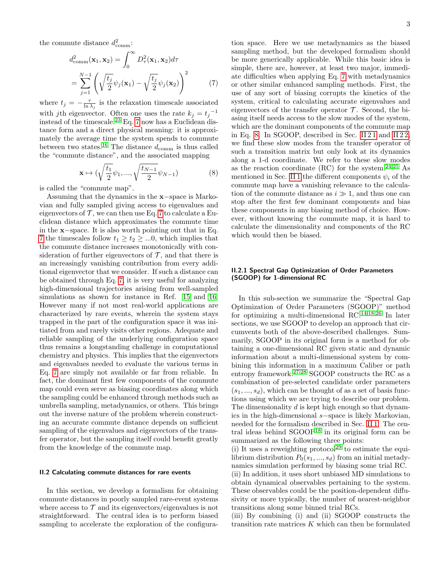the commute distance  $d_{\text{comm}}^2$ :

$$
d_{\text{comm}}^2(\mathbf{x}_1, \mathbf{x}_2) = \int_0^\infty D_\tau^2(\mathbf{x}_1, \mathbf{x}_2) d\tau
$$
  
= 
$$
\sum_{j=1}^{N-1} \left( \sqrt{\frac{t_j}{2}} \psi_j(\mathbf{x}_1) - \sqrt{\frac{t_j}{2}} \psi_j(\mathbf{x}_2) \right)^2
$$
 (7)

where  $t_j = -\frac{\tau}{\ln \lambda_j}$  is the relaxation timescale associated with jth eigenvector. Often one uses the rate  $k_j = t_j^{-1}$ instead of the timescale.[23](#page-9-14) Eq. [7](#page-2-0) now has a Euclidean distance form and a direct physical meaning: it is approximately the average time the system spends to commute between two states.<sup>[16](#page-9-7)</sup> The distance  $d_{\text{comm}}$  is thus called the "commute distance", and the associated mapping

$$
\mathbf{x} \mapsto \left(\sqrt{\frac{t_1}{2}}\psi_1, \dots, \sqrt{\frac{t_{N-1}}{2}}\psi_{N-1}\right) \tag{8}
$$

is called the "commute map".

Assuming that the dynamics in the x−space is Markovian and fully sampled giving access to eigenvalues and eigenvectors of  $\mathcal T$ , we can then use Eq. [7](#page-2-0) to calculate a Euclidean distance which approximates the commute time in the x−space. It is also worth pointing out that in Eq. [7](#page-2-0) the timescales follow  $t_1 \geq t_2 \geq ...0$ , which implies that the commute distance increases monotonically with consideration of further eigenvectors of  $\mathcal{T}$ , and that there is an increasingly vanishing contribution from every additional eigenvector that we consider. If such a distance can be obtained through Eq. [7,](#page-2-0) it is very useful for analyzing high-dimensional trajectories arising from well-sampled simulations as shown for instance in Ref. [15](#page-9-6) and [16.](#page-9-7) However many if not most real-world applications are characterized by rare events, wherein the system stays trapped in the part of the configuration space it was initiated from and rarely visits other regions. Adequate and reliable sampling of the underlying configuration space thus remains a longstanding challenge in computational chemistry and physics. This implies that the eigenvectors and eigenvalues needed to evaluate the various terms in Eq. [7](#page-2-0) are simply not available or far from reliable. In fact, the dominant first few components of the commute map could even serve as biasing coordinates along which the sampling could be enhanced through methods such as umbrella sampling, metadynamics, or others. This brings out the inverse nature of the problem wherein constructing an accurate commute distance depends on sufficient sampling of the eigenvalues and eigenvectors of the transfer operator, but the sampling itself could benefit greatly from the knowledge of the commute map.

#### II.2 Calculating commute distances for rare events

In this section, we develop a formalism for obtaining commute distances in poorly sampled rare-event systems where access to  $\mathcal T$  and its eigenvectors/eigenvalues is not straightforward. The central idea is to perform biased sampling to accelerate the exploration of the configura-

<span id="page-2-0"></span>tion space. Here we use metadynamics as the biased sampling method, but the developed formalism should be more generically applicable. While this basic idea is simple, there are, however, at least two major, immediate difficulties when applying Eq. [7](#page-2-0) with metadynamics or other similar enhanced sampling methods. First, the use of any sort of biasing corrupts the kinetics of the system, critical to calculating accurate eigenvalues and eigenvectors of the transfer operator  $\mathcal T$ . Second, the biasing itself needs access to the slow modes of the system, which are the dominant components of the commute map in Eq. [8.](#page-2-1) In SGOOP, described in Sec. II  $21$  and II  $22$ , we find these slow modes from the transfer operator of such a transition matrix but only look at its dynamics along a 1-d coordinate. We refer to these slow modes as the reaction coordinate  $(RC)$  for the system.<sup>[24](#page-9-15)[,25](#page-9-16)</sup> As mentioned in Sec. [II 1](#page-1-4) the different components  $\psi_i$  of the commute map have a vanishing relevance to the calculation of the commute distance as  $i \gg 1$ , and thus one can stop after the first few dominant components and bias these components in any biasing method of choice. However, without knowing the commute map, it is hard to calculate the dimensionality and components of the RC which would then be biased.

# <span id="page-2-2"></span><span id="page-2-1"></span>II.2.1 Spectral Gap Optimization of Order Parameters (SGOOP) for 1-dimensional RC

In this sub-section we summarize the "Spectral Gap Optimization of Order Parameters (SGOOP)" method for optimizing a multi-dimensional  $RC^{14,18,26}$  $RC^{14,18,26}$  $RC^{14,18,26}$  $RC^{14,18,26}$  $RC^{14,18,26}$  In later sections, we use SGOOP to develop an approach that circumvents both of the above-described challenges. Summarily, SGOOP in its original form is a method for obtaining a one-dimensional RC given static and dynamic information about a multi-dimensional system by combining this information in a maximum Caliber or path entropy framework.<sup>[27,](#page-9-18)[28](#page-9-19)</sup> SGOOP constructs the RC as a combination of pre-selected candidate order parameters  $(s_1, ..., s_d)$ , which can be thought of as a set of basis functions using which we are trying to describe our problem. The dimensionality  $d$  is kept high enough so that dynamics in the high-dimensional s−space is likely Markovian, needed for the formalism described in Sec. [II 1.](#page-1-4) The central ideas behind  $SGOOP<sup>18</sup>$  $SGOOP<sup>18</sup>$  $SGOOP<sup>18</sup>$  in its original form can be summarized as the following three points:

(i) It uses a reweighting protocol<sup>[29](#page-9-20)</sup> to estimate the equilibrium distribution  $P_0(s_1, ..., s_d)$  from an initial metadynamics simulation performed by biasing some trial RC.

(ii) In addition, it uses short unbiased MD simulations to obtain dynamical observables pertaining to the system. These observables could be the position-dependent diffusivity or more typically, the number of nearest-neighbor transitions along some binned trial RCs.

(iii) By combining (i) and (ii) SGOOP constructs the transition rate matrices  $K$  which can then be formulated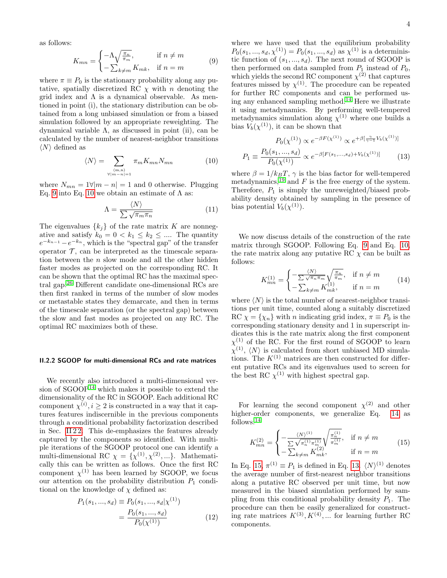as follows:

$$
K_{mn} = \begin{cases} -\Lambda \sqrt{\frac{\pi_n}{\pi_m}}, & \text{if } n \neq m \\ -\sum_{k \neq m} K_{mk}, & \text{if } n = m \end{cases}
$$
(9)

where  $\pi \equiv P_0$  is the stationary probability along any putative, spatially discretized RC  $\chi$  with n denoting the grid index and  $\Lambda$  is a dynamical observable. As mentioned in point (i), the stationary distribution can be obtained from a long unbiased simulation or from a biased simulation followed by an appropriate reweighting. The dynamical variable Λ, as discussed in point (ii), can be calculated by the number of nearest-neighbor transitions  $\langle N \rangle$  defined as

$$
\langle N \rangle = \sum_{\substack{(m,n) \\ \forall |m-n|=1}} \pi_m K_{mn} N_{mn} \tag{10}
$$

where  $N_{mn} = 1 \forall |m - n| = 1$  and 0 otherwise. Plugging Eq. [9](#page-3-1) into Eq. [10](#page-3-2) we obtain an estimate of  $\Lambda$  as:

$$
\Lambda = \frac{\langle N \rangle}{\sum \sqrt{\pi_m \pi_n}} \tag{11}
$$

The eigenvalues  $\{k_i\}$  of the rate matrix K are nonnegative and satisfy  $k_0 = 0 < k_1 \leq k_2 \leq \dots$  The quantity  $e^{-k_{n-1}}-e^{-k_n}$ , which is the "spectral gap" of the transfer operator  $\mathcal T$ , can be interpreted as the timescale separation between the n slow mode and all the other hidden faster modes as projected on the corresponding RC. It can be shown that the optimal RC has the maximal spectral gap.[26](#page-9-17) Different candidate one-dimensional RCs are then first ranked in terms of the number of slow modes or metastable states they demarcate, and then in terms of the timescale separation (or the spectral gap) between the slow and fast modes as projected on any RC. The optimal RC maximizes both of these.

### <span id="page-3-0"></span>II.2.2 SGOOP for multi-dimensional RCs and rate matrices

We recently also introduced a multi-dimensional version of  $SGOOP<sup>14</sup>$  $SGOOP<sup>14</sup>$  $SGOOP<sup>14</sup>$  which makes it possible to extend the dimensionality of the RC in SGOOP. Each additional RC component  $\chi^{(i)}$ ,  $i \geq 2$  is constructed in a way that it captures features indiscernible in the previous components through a conditional probability factorization described in Sec. [II 2 2.](#page-3-0) This de-emphasizes the features already captured by the components so identified. With multiple iterations of the SGOOP protocol one can identify a multi-dimensional RC  $\chi = {\chi^{(1)}, \chi^{(2)}, ...}$ . Mathematically this can be written as follows. Once the first RC component  $\chi^{(1)}$  has been learned by SGOOP, we focus our attention on the probability distribution  $P_1$  conditional on the knowledge of  $\chi$  defined as:

$$
P_1(s_1, ..., s_d) \equiv P_0(s_1, ..., s_d | \chi^{(1)})
$$

$$
= \frac{P_0(s_1, ..., s_d)}{P_0(\chi^{(1)})}
$$
(12)

<span id="page-3-1"></span>where we have used that the equilibrium probability  $P_0(s_1, ..., s_d, \chi^{(1)}) = P_0(s_1, ..., s_d)$  as  $\chi^{(1)}$  is a deterministic function of  $(s_1, ..., s_d)$ . The next round of SGOOP is then performed on data sampled from  $P_1$  instead of  $P_0$ , which yields the second RC component  $\chi^{(2)}$  that captures features missed by  $\chi^{(1)}$ . The procedure can be repeated for further RC components and can be performed using any enhanced sampling method.[14](#page-9-5) Here we illustrate it using metadynamics. By performing well-tempered metadynamics simulation along  $\chi^{(1)}$  where one builds a bias  $V_b(\chi^{(1)})$ , it can be shown that

<span id="page-3-5"></span>
$$
P_0(\chi^{(1)}) \propto e^{-\beta F(\chi^{(1)})} \propto e^{+\beta \left[\frac{\gamma}{\gamma-1}V_b(\chi^{(1)})\right]}
$$

$$
P_1 \equiv \frac{P_0(s_1, ..., s_d)}{P_0(\chi^{(1)})} \propto e^{-\beta [F(s_1, ..., s_d) + V_b(\chi^{(1)})]} \tag{13}
$$

<span id="page-3-2"></span>where  $\beta = 1/k_B T$ ,  $\gamma$  is the bias factor for well-tempered metadynamics,  $^{19}$  $^{19}$  $^{19}$  and F is the free energy of the system. Therefore,  $P_1$  is simply the unreweighted/biased probability density obtained by sampling in the presence of bias potential  $V_b(\chi^{(1)})$ .

We now discuss details of the construction of the rate matrix through SGOOP. Following Eq. [9](#page-3-1) and Eq. [10,](#page-3-2) the rate matrix along any putative RC  $\chi$  can be built as follows:

<span id="page-3-3"></span>
$$
K_{mn}^{(1)} = \begin{cases} -\frac{\langle N \rangle}{\sum \sqrt{\pi_n \pi_m}} \sqrt{\frac{\pi_n}{\pi_m}}, & \text{if } n \neq m \\ -\sum_{k \neq m} K_{mk}^{(1)}, & \text{if } n = m \end{cases}
$$
(14)

where  $\langle N \rangle$  is the total number of nearest-neighbor transitions per unit time, counted along a suitably discretized RC  $\chi = {\chi_n}$  with *n* indicating grid index,  $\pi \equiv P_0$  is the corresponding stationary density and 1 in superscript indicates this is the rate matrix along the first component  $\chi^{(1)}$  of the RC. For the first round of SGOOP to learn  $\chi^{(1)}$ ,  $\langle N \rangle$  is calculated from short unbiased MD simulations. The  $K^{(1)}$  matrices are then constructed for different putative RCs and its eigenvalues used to screen for the best RC  $\chi^{(1)}$  with highest spectral gap.

For learning the second component  $\chi^{(2)}$  and other higher-order components, we generalize Eq. [14](#page-3-3) as follows:[14](#page-9-5)

<span id="page-3-4"></span>
$$
K_{mn}^{(2)} = \begin{cases} -\frac{\langle N \rangle^{(1)}}{\sum \sqrt{\pi_n^{(1)}} \pi_m^{(1)}} \sqrt{\frac{\pi_n^{(1)}}{\pi_m^{(1)}}}, & \text{if } n \neq m \\ -\sum_{k \neq m} K_{mk}^{(2)}, & \text{if } n = m \end{cases}
$$
(15)

In Eq. [15,](#page-3-4)  $\pi^{(1)} \equiv P_1$  is defined in Eq. [13.](#page-3-5)  $\langle N \rangle^{(1)}$  denotes the average number of first-nearest neighbor transitions along a putative RC observed per unit time, but now measured in the biased simulation performed by sampling from this conditional probability density  $P_1$ . The procedure can then be easily generalized for constructing rate matrices  $K^{(3)}$ ,  $K^{(4)}$ , ... for learning further RC components.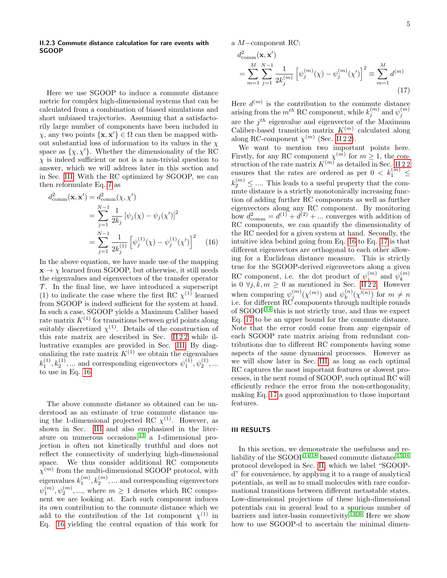# II.2.3 Commute distance calculation for rare events with SGOOP

Here we use SGOOP to induce a commute distance metric for complex high-dimensional systems that can be calculated from a combination of biased simulations and short unbiased trajectories. Assuming that a satisfactorily large number of components have been included in  $\chi$ , any two points  $\{x, x'\} \in \Omega$  can then be mapped without substantial loss of information to its values in the  $\chi$ space as  $\{\chi, \chi'\}$ . Whether the dimensionality of the RC  $\chi$  is indeed sufficient or not is a non-trivial question to answer, which we will address later in this section and in Sec. [III.](#page-4-1) With the RC optimized by SGOOP, we can then reformulate Eq. [7](#page-2-0) as

$$
d_{\text{comm}}^{2}(\mathbf{x}, \mathbf{x}') = d_{\text{comm}}^{2}(\chi, \chi')
$$
  
= 
$$
\sum_{j=1}^{N-1} \frac{1}{2k_{j}} [\psi_{j}(\chi) - \psi_{j}(\chi')]^{2}
$$
  
= 
$$
\sum_{j=1}^{N-1} \frac{1}{2k_{j}^{(1)}} [\psi_{j}^{(1)}(\chi) - \psi_{j}^{(1)}(\chi')]^{2}
$$
 (16)

In the above equation, we have made use of the mapping  $\mathbf{x} \rightarrow \chi$  learned from SGOOP, but otherwise, it still needs the eigenvalues and eigenvectors of the transfer operator  $\mathcal T$ . In the final line, we have introduced a superscript (1) to indicate the case where the first RC  $\chi^{(1)}$  learned from SGOOP is indeed sufficient for the system at hand. In such a case, SGOOP yields a Maximum Caliber based rate matrix  $K^{(1)}$  for transitions between grid points along suitably discretized  $\chi^{(1)}$ . Details of the construction of this rate matrix are described in Sec. II 22 while illustrative examples are provided in Sec. [III.](#page-4-1) By diagonalizing the rate matrix  $K^{(1)}$  we obtain the eigenvalues  $k_1^{(1)}, k_2^{(1)}, \dots$  and corresponding eigenvectors  $\psi_1^{(1)}, \psi_2^{(1)}, \dots$ to use in Eq. [16.](#page-4-2)

The above commute distance so obtained can be understood as an estimate of true commute distance using the 1-dimensional projected RC  $\chi^{(1)}$ . However, as shown in Sec. [III](#page-4-1) and also emphasized in the literature on numerous occasions,  $13$  a 1-dimensional projection is often not kinetically truthful and does not reflect the connectivity of underlying high-dimensional space. We thus consider additional RC components  $\chi^{(m)}$  from the multi-dimensional SGOOP protocol, with eigenvalues  $k_1^{(m)}, k_2^{(m)}, \dots$  and corresponding eigenvectors  $\psi_1^{(m)}, \psi_2^{(m)}, \dots$ , where  $m \geq 1$  denotes which RC component we are looking at. Each such component induces its own contribution to the commute distance which we add to the contribution of the 1st component  $\chi^{(1)}$  in Eq. [16](#page-4-2) yielding the central equation of this work for

a M−component RC:

<span id="page-4-0"></span>
$$
d_{\text{comm}}^{2}(\mathbf{x}, \mathbf{x}') = \sum_{m=1}^{M} \sum_{j=1}^{N-1} \frac{1}{2k_{j}^{(m)}} \left[ \psi_{j}^{(m)}(\chi) - \psi_{j}^{(m)}(\chi') \right]^{2} \equiv \sum_{m=1}^{M} d^{(m)} \tag{17}
$$

Here  $d^{(m)}$  is the contribution to the commute distance arising from the  $m^{th}$  RC component, while  $k_j^{(m)}$  and  $\psi_j^{(m)}$ are the  $j^{th}$  eigenvalue and eigenvector of the Maximum Caliber-based transition matrix  $K^{(m)}$  calculated along along RC-component  $\chi^{(m)}$  (Sec. [II 2 2\)](#page-3-0).

<span id="page-4-2"></span>We want to mention two important points here. Firstly, for any RC component  $\chi^{(m)}$  for  $m \geq 1$ , the construction of the rate matrix  $K^{(m)}$  as detailed in Sec. II 22 ensures that the rates are ordered as per  $0 \, < \, k_1^{(m)} \, \leq$  $k_2^{(m)} \leq \ldots$  . This leads to a useful property that the commute distance is a strictly monotonically increasing function of adding further RC components as well as further eigenvectors along any RC component. By monitoring how  $d_{\text{comm}}^2 = d^{(1)} + d^{(2)} + \dots$  converges with addition of RC components, we can quantify the dimensionality of the RC needed for a given system at hand. Secondly, the intuitive idea behind going from Eq. [16](#page-4-2) to Eq. [17](#page-4-0) is that different eigenvectors are orthogonal to each other allowing for a Euclidean distance measure. This is strictly true for the SGOOP-derived eigenvectors along a given RC component, i.e. the dot product of  $\psi_j^{(m)}$  and  $\psi_k^{(m)}$ is 0  $\forall j, k, m \ge 0$  as mentioned in Sec. II 22. However when comparing  $\psi_j^{(m)}(\chi^{(m)})$  and  $\psi_k^{(n)}$  $\binom{n}{k}$ ( $\chi^{\prime(n)}$ ) for  $m \neq n$ i.e. for different RC components through multiple rounds of  $SGOOP<sup>14</sup>$  $SGOOP<sup>14</sup>$  $SGOOP<sup>14</sup>$  this is not strictly true, and thus we expect Eq. [17](#page-4-0) to be an upper bound for the commute distance. Note that the error could come from any eigenpair of each SGOOP rate matrix arising from redundant contributions due to different RC components having some aspects of the same dynamical processes. However as we will show later in Sec. [III,](#page-4-1) as long as each optimal RC captures the most important features or slowest processes, in the next round of SGOOP, such optimal RC will efficiently reduce the error from the non-orthogonality, making Eq. [17](#page-4-0) a good approximation to those important features.

# <span id="page-4-1"></span>III RESULTS

In this section, we demonstrate the usefulness and re-liability of the SGOOP<sup>[14](#page-9-5)[,18](#page-9-9)</sup> based commute distance<sup>[15](#page-9-6)[,16](#page-9-7)</sup> protocol developed in Sec. [II,](#page-1-5) which we label "SGOOPd" for convenience, by applying it to a range of analytical potentials, as well as to small molecules with rare conformational transitions between different metastable states. Low-dimensional projections of these high-dimensional potentials can in general lead to a spurious number of barriers and inter-basin connectivity.<sup>[13](#page-9-4)[,30](#page-9-21)</sup> Here we show how to use SGOOP-d to ascertain the minimal dimen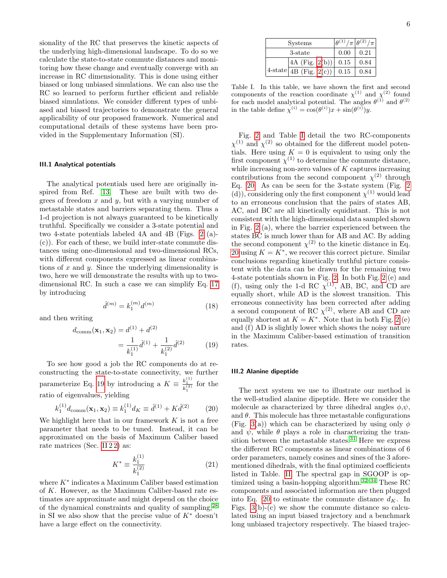sionality of the RC that preserves the kinetic aspects of the underlying high-dimensional landscape. To do so we calculate the state-to-state commute distances and monitoring how these change and eventually converge with an increase in RC dimensionality. This is done using either biased or long unbiased simulations. We can also use the RC so learned to perform further efficient and reliable biased simulations. We consider different types of unbiased and biased trajectories to demonstrate the general applicability of our proposed framework. Numerical and computational details of these systems have been provided in the Supplementary Information (SI).

#### <span id="page-5-3"></span>III.1 Analytical potentials

The analytical potentials used here are originally inspired from Ref. [13.](#page-9-4) These are built with two degrees of freedom  $x$  and  $y$ , but with a varying number of metastable states and barriers separating them. Thus a 1-d projection is not always guaranteed to be kinetically truthful. Specifically we consider a 3-state potential and two 4-state potentials labeled 4A and 4B (Figs. [2](#page-6-0) (a)- (c)). For each of these, we build inter-state commute distances using one-dimensional and two-dimensional RCs, with different components expressed as linear combinations of  $x$  and  $y$ . Since the underlying dimensionality is two, here we will demonstrate the results with up to twodimensional RC. In such a case we can simplify Eq. [17](#page-4-0) by introducing

$$
\hat{d}^{(m)} = k_1^{(m)} d^{(m)} \tag{18}
$$

and then writing

$$
d_{\text{comm}}(\mathbf{x}_1, \mathbf{x}_2) = d^{(1)} + d^{(2)}
$$
  
= 
$$
\frac{1}{k_1^{(1)}} \hat{d}^{(1)} + \frac{1}{k_1^{(2)}} \hat{d}^{(2)}
$$
(19)

To see how good a job the RC components do at reconstructing the state-to-state connectivity, we further parameterize Eq. [19](#page-5-0) by introducing a  $K \equiv \frac{k_1^{(1)}}{k_1^{(2)}}$  for the ratio of eigenvalues, yielding

$$
k_1^{(1)}d_{\text{comm}}(\mathbf{x}_1, \mathbf{x}_2) \equiv k_1^{(1)}d_K \equiv \hat{d}^{(1)} + K\hat{d}^{(2)} \tag{20}
$$

We highlight here that in our framework  $K$  is not a free parameter that needs to be tuned. Instead, it can be approximated on the basis of Maximum Caliber based rate matrices (Sec. [II 2 2\)](#page-3-0) as:

$$
K^* \equiv \frac{k_1^{(1)}}{k_1^{(2)}}\tag{21}
$$

where  $K^*$  indicates a Maximum Caliber based estimation of K. However, as the Maximum Caliber-based rate estimates are approximate and might depend on the choice of the dynamical constraints and quality of sampling,[28](#page-9-19) in SI we also show that the precise value of  $K^*$  doesn't have a large effect on the connectivity.

| Systems                              |      | $ \theta^{(1)}/\pi \theta^{(2)}/\pi $ |
|--------------------------------------|------|---------------------------------------|
| 3-state                              | 0.00 | 0.21                                  |
| $ 4A$ (Fig. 2(b))                    | 0.15 | 0.84                                  |
| $4\text{-state}$ 4B (Fig. 2(c)) 0.15 |      | 0.84                                  |

<span id="page-5-1"></span>Table I. In this table, we have shown the first and second components of the reaction coordinate  $\chi^{(1)}$  and  $\chi^{(2)}$  found for each model analytical potential. The angles  $\theta^{(1)}$  and  $\theta^{(2)}$ in the table define  $\chi^{(i)} = \cos(\theta^{(i)})x + \sin(\theta^{(i)})y$ .

Fig. [2](#page-6-0) and Table [I](#page-5-1) detail the two RC-components  $\chi^{(1)}$  and  $\chi^{(2)}$  so obtained for the different model potentials. Here using  $K = 0$  is equivalent to using only the first component  $\chi^{(1)}$  to determine the commute distance, while increasing non-zero values of  $K$  captures increasing contributions from the second component  $\chi^{(2)}$  through Eq. [20.](#page-5-2) As can be seen for the 3-state system (Fig. [2](#page-6-0) (d)), considering only the first component  $\chi^{(1)}$  would lead to an erroneous conclusion that the pairs of states AB, AC, and BC are all kinetically equidistant. This is not consistent with the high-dimensional data sampled shown in Fig. [2](#page-6-0) (a), where the barrier experienced between the states BC is much lower than for AB and AC. By adding the second component  $\chi^{(2)}$  to the kinetic distance in Eq. [20](#page-5-2) using  $K = K^*$ , we recover this correct picture. Similar conclusions regarding kinetically truthful picture consistent with the data can be drawn for the remaining two 4-state potentials shown in Fig. [2.](#page-6-0) In both Fig. [2](#page-6-0) (e) and (f), using only the 1-d RC  $\chi^{(1)}$ , AB, BC, and CD are equally short, while AD is the slowest transition. This erroneous connectivity has been corrected after adding a second component of RC  $\chi^{(2)}$ , where AB and CD are equally shortest at  $K = K^*$ . Note that in both Fig. [2](#page-6-0) (e) and (f) AD is slightly lower which shows the noisy nature in the Maximum Caliber-based estimation of transition rates.

#### <span id="page-5-0"></span>III.2 Alanine dipeptide

<span id="page-5-4"></span><span id="page-5-2"></span>The next system we use to illustrate our method is the well-studied alanine dipeptide. Here we consider the molecule as characterized by three dihedral angles  $\phi, \psi$ , and  $\theta$ . This molecule has three metastable configurations (Fig. [3\(](#page-7-0)a)) which can be characterized by using only  $\phi$ and  $\psi$ , while  $\theta$  plays a role in characterizing the transition between the metastable states. $31$  Here we express the different RC components as linear combinations of 6 order parameters, namely cosines and sines of the 3 aforementioned dihedrals, with the final optimized coefficients listed in Table. [II.](#page-6-1) The spectral gap in SGOOP is optimized using a basin-hopping algorithm. $32-34$  $32-34$  These RC components and associated information are then plugged into Eq. [20](#page-5-2) to estimate the commute distance  $d_K$ . In Figs. [3\(](#page-7-0)b)-(c) we show the commute distance so calculated using an input biased trajectory and a benchmark long unbiased trajectory respectively. The biased trajec-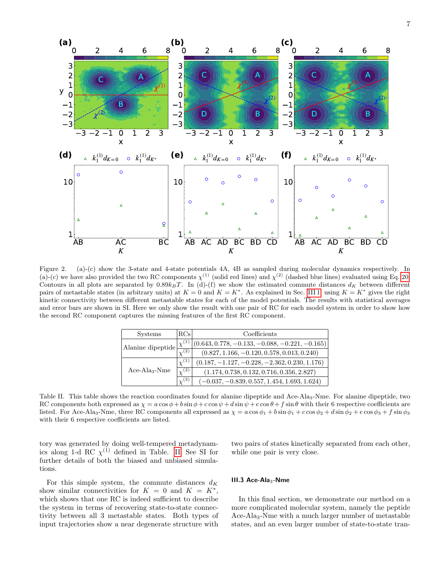

<span id="page-6-0"></span>Figure 2. (a)-(c) show the 3-state and 4-state potentials 4A, 4B as sampled during molecular dynamics respectively. In (a)-(c) we have also provided the two RC components  $\chi^{(1)}$  (solid red lines) and  $\chi^{(2)}$  (dashed blue lines) evaluated using Eq. [20.](#page-5-2) Contours in all plots are separated by  $0.89k_BT$ . In (d)-(f) we show the estimated commute distances  $d_K$  between different pairs of metastable states (in arbitrary units) at  $K = 0$  and  $K = K^*$ . As explained in Sec. [III 1,](#page-5-3) using  $K = K^*$  gives the right kinetic connectivity between different metastable states for each of the model potentials. The results with statistical averages and error bars are shown in SI. Here we only show the result with one pair of RC for each model system in order to show how the second RC component captures the missing features of the first RC component.

| <b>Systems</b>    | RCs            | Coefficients                                     |
|-------------------|----------------|--------------------------------------------------|
| Alanine dipeptide | $\chi^{(1)}$   | $(0.643, 0.778, -0.133, -0.088, -0.221, -0.165)$ |
|                   | (2)            | $(0.827, 1.166, -0.120, 0.578, 0.013, 0.240)$    |
|                   | $\chi^{(1)}$   | $(0.187, -1.127, -0.228, -2.362, 0.230, 1.176)$  |
| $Ace-Ala3-Nme$    | $\sqrt{2}$ .   | $(1.174, 0.738, 0.132, 0.716, 0.356, 2.827)$     |
|                   | $\binom{3}{2}$ | $(-0.037, -0.839, 0.557, 1.454, 1.693, 1.624)$   |

<span id="page-6-1"></span>Table II. This table shows the reaction coordinates found for alanine dipeptide and Ace-Ala3-Nme. For alanine dipeptide, two RC components both expressed as  $\chi = a \cos \phi + b \sin \phi + c \cos \psi + d \sin \psi + e \cos \theta + f \sin \theta$  with their 6 respective coefficients are listed. For Ace-Ala<sub>3</sub>-Nme, three RC components all expressed as  $\chi = a \cos \phi_1 + b \sin \phi_1 + c \cos \phi_2 + d \sin \phi_2 + e \cos \phi_3 + f \sin \phi_3$ with their 6 respective coefficients are listed.

tory was generated by doing well-tempered metadynamics along 1-d RC  $\chi^{(1)}$  defined in Table. [II.](#page-6-1) See SI for further details of both the biased and unbiased simulations.

For this simple system, the commute distances  $d_K$ show similar connectivities for  $K = 0$  and  $K = K^*$ , which shows that one RC is indeed sufficient to describe the system in terms of recovering state-to-state connectivity between all 3 metastable states. Both types of input trajectories show a near degenerate structure with

two pairs of states kinetically separated from each other, while one pair is very close.

#### III.3 Ace-Ala<sub>3</sub>-Nme

In this final section, we demonstrate our method on a more complicated molecular system, namely the peptide Ace-Ala<sub>3</sub>-Nme with a much larger number of metastable states, and an even larger number of state-to-state tran-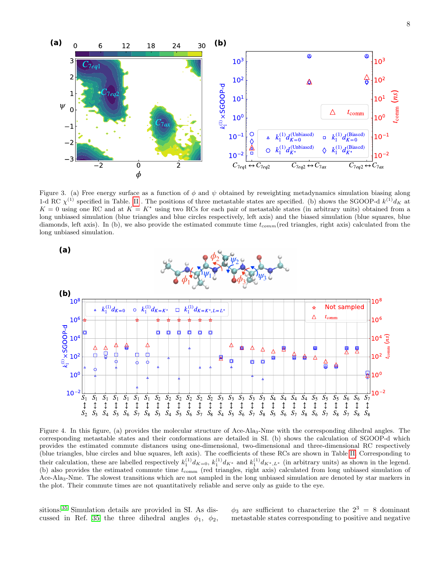

<span id="page-7-0"></span>Figure 3. (a) Free energy surface as a function of  $\phi$  and  $\psi$  obtained by reweighting metadynamics simulation biasing along 1-d RC  $\chi^{(1)}$  specified in Table. [II](#page-6-1). The positions of three metastable states are specified. (b) shows the SGOOP-d  $k^{(1)}d_K$  at  $K = 0$  using one RC and at  $K = K^*$  using two RCs for each pair of metastable states (in arbitrary units) obtained from a long unbiased simulation (blue triangles and blue circles respectively, left axis) and the biased simulation (blue squares, blue diamonds, left axis). In (b), we also provide the estimated commute time  $t_{comm}$  (red triangles, right axis) calculated from the long unbiased simulation.



<span id="page-7-1"></span>Figure 4. In this figure, (a) provides the molecular structure of Ace-Ala3-Nme with the corresponding dihedral angles. The corresponding metastable states and their conformations are detailed in SI. (b) shows the calculation of SGOOP-d which provides the estimated commute distances using one-dimensional, two-dimensional and three-dimensional RC respectively (blue triangles, blue circles and blue squares, left axis). The coefficients of these RCs are shown in Table [II.](#page-6-1) Corresponding to their calculation, these are labelled respectively  $k_1^{(1)} d_{K=0}$ ,  $k_1^{(1)} d_{K^*}$  and  $k_1^{(1)} d_{K^*,L^*}$  (in arbitrary units) as shown in the legend. (b) also provides the estimated commute time  $t_{\text{comm}}$  (red triangles, right axis) calculated from long unbiased simulation of Ace-Ala3-Nme. The slowest transitions which are not sampled in the long unbiased simulation are denoted by star markers in the plot. Their commute times are not quantitatively reliable and serve only as guide to the eye.

sitions.[35](#page-9-25) Simulation details are provided in SI. As dis-cussed in Ref. [35](#page-9-25) the three dihedral angles  $\phi_1$ ,  $\phi_2$ ,

 $\phi_3$  are sufficient to characterize the  $2^3 = 8$  dominant metastable states corresponding to positive and negative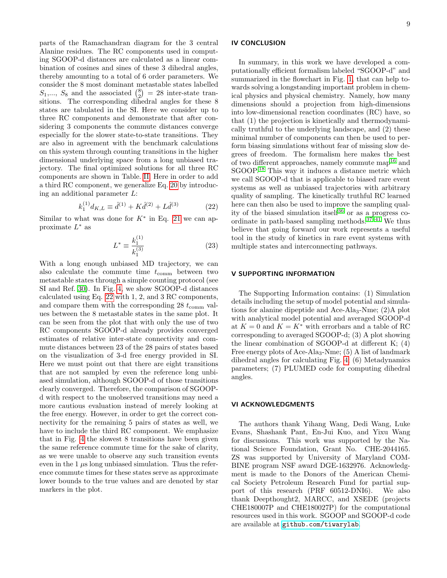parts of the Ramachandran diagram for the 3 central Alanine residues. The RC components used in computing SGOOP-d distances are calculated as a linear combination of cosines and sines of these 3 dihedral angles, thereby amounting to a total of 6 order parameters. We consider the 8 most dominant metastable states labelled  $S_1,..., S_8$  and the associated  $\binom{8}{2} = 28$  inter-state transitions. The corresponding dihedral angles for these 8 states are tabulated in the SI. Here we consider up to three RC components and demonstrate that after considering 3 components the commute distances converge especially for the slower state-to-state transitions. They are also in agreement with the benchmark calculations on this system through counting transitions in the higher dimensional underlying space from a long unbiased trajectory. The final optimized solutions for all three RC components are shown in Table. [II.](#page-6-1) Here in order to add a third RC component, we generalize Eq. [20](#page-5-2) by introducing an additional parameter L:

$$
k_1^{(1)} d_{K,L} \equiv \hat{d}^{(1)} + K \hat{d}^{(2)} + L \hat{d}^{(3)} \tag{22}
$$

Similar to what was done for  $K^*$  in Eq. [21](#page-5-4) we can approximate  $L^*$  as

$$
L^* \equiv \frac{k_1^{(1)}}{k_1^{(3)}}\tag{23}
$$

With a long enough unbiased MD trajectory, we can also calculate the commute time  $t_{\text{comm}}$  between two metastable states through a simple counting protocol (see SI and Ref. [30\)](#page-9-21). In Fig. [4,](#page-7-1) we show SGOOP-d distances calculated using Eq. [22](#page-8-0) with 1, 2, and 3 RC components, and compare them with the corresponding 28  $t_{\text{comm}}$  values between the 8 metastable states in the same plot. It can be seen from the plot that with only the use of two RC components SGOOP-d already provides converged estimates of relative inter-state connectivity and commute distances between 23 of the 28 pairs of states based on the visualization of 3-d free energy provided in SI. Here we must point out that there are eight transitions that are not sampled by even the reference long unbiased simulation, although SGOOP-d of those transitions clearly converged. Therefore, the comparison of SGOOPd with respect to the unobserved transitions may need a more cautious evaluation instead of merely looking at the free energy. However, in order to get the correct connectivity for the remaining 5 pairs of states as well, we have to include the third RC component. We emphasize that in Fig. [4](#page-7-1) the slowest 8 transitions have been given the same reference commute time for the sake of clarity, as we were unable to observe any such transition events even in the  $1 \mu s$  long unbiased simulation. Thus the reference commute times for these states serve as approximate lower bounds to the true values and are denoted by star markers in the plot.

# IV CONCLUSION

In summary, in this work we have developed a computationally efficient formalism labeled "SGOOP-d" and summarized in the flowchart in Fig. [1,](#page-1-6) that can help towards solving a longstanding important problem in chemical physics and physical chemistry. Namely, how many dimensions should a projection from high-dimensions into low-dimensional reaction coordinates (RC) have, so that (1) the projection is kinetically and thermodynamically truthful to the underlying landscape, and (2) these minimal number of components can then be used to perform biasing simulations without fear of missing slow degrees of freedom. The formalism here makes the best of two different approaches, namely commute map<sup>[16](#page-9-7)</sup> and SGOOP.[18](#page-9-9) This way it induces a distance metric which we call SGOOP-d that is applicable to biased rare event systems as well as unbiased trajectories with arbitrary quality of sampling. The kinetically truthful RC learned here can then also be used to improve the sampling qual-ity of the biased simulation itself<sup>[36](#page-9-26)</sup> or as a progress co-ordinate in path-based sampling methods.<sup>37-[41](#page-10-0)</sup> We thus believe that going forward our work represents a useful tool in the study of kinetics in rare event systems with multiple states and interconnecting pathways.

### <span id="page-8-0"></span>V SUPPORTING INFORMATION

The Supporting Information contains: (1) Simulation details including the setup of model potential and simulations for alanine dipeptide and Ace-Ala<sub>3</sub>-Nme;  $(2)$ A plot with analytical model potential and averaged SGOOP-d at  $K=0$  and  $K=K^{\ast}$  with errorbars and a table of RC corresponding to averaged SGOOP-d; (3) A plot showing the linear combination of SGOOP-d at different K; (4) Free energy plots of Ace-Ala<sub>3</sub>-Nme; (5) A list of landmark dihedral angles for calculating Fig. [4;](#page-7-1) (6) Metadynamics parameters; (7) PLUMED code for computing dihedral angles.

## VI ACKNOWLEDGMENTS

The authors thank Yihang Wang, Dedi Wang, Luke Evans, Shashank Pant, En-Jui Kuo, and Yixu Wang for discussions. This work was supported by the National Science Foundation, Grant No. CHE-2044165. ZS was supported by University of Maryland COM-BINE program NSF award DGE-1632976. Acknowledgment is made to the Donors of the American Chemical Society Petroleum Research Fund for partial support of this research (PRF 60512-DNI6). We also thank Deepthought2, MARCC, and XSEDE (projects CHE180007P and CHE180027P) for the computational resources used in this work. SGOOP and SGOOP-d code are available at <github.com/tiwarylab>.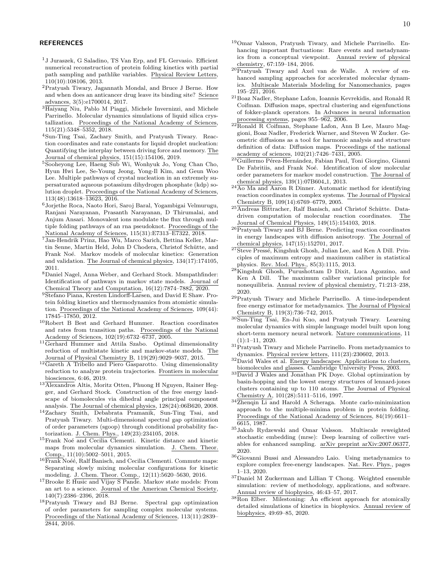## **REFERENCES**

- <span id="page-9-0"></span> $^{1}\mathrm{J}$  Juraszek, G Saladino, TS Van Erp, and FL Gervasio. Efficient numerical reconstruction of protein folding kinetics with partial path sampling and pathlike variables. Physical Review Letters, 110(10):108106, 2013.
- <sup>2</sup>Pratyush Tiwary, Jagannath Mondal, and Bruce J Berne. How and when does an anticancer drug leave its binding site? Science advances, 3(5):e1700014, 2017.
- <sup>3</sup>Haiyang Niu, Pablo M Piaggi, Michele Invernizzi, and Michele Parrinello. Molecular dynamics simulations of liquid silica crystallization. Proceedings of the National Academy of Sciences, 115(21):5348–5352, 2018.
- <sup>4</sup>Sun-Ting Tsai, Zachary Smith, and Pratyush Tiwary. Reaction coordinates and rate constants for liquid droplet nucleation: Quantifying the interplay between driving force and memory. The Journal of chemical physics, 151(15):154106, 2019.
- <sup>5</sup>Sooheyong Lee, Haeng Sub Wi, Wonhyuk Jo, Yong Chan Cho, Hyun Hwi Lee, Se-Young Jeong, Yong-Il Kim, and Geun Woo Lee. Multiple pathways of crystal nucleation in an extremely supersaturated aqueous potassium dihydrogen phosphate (kdp) solution droplet. Proceedings of the National Academy of Sciences, 113(48):13618–13623, 2016.
- <sup>6</sup>Jorjethe Roca, Naoto Hori, Saroj Baral, Yogambigai Velmurugu, Ranjani Narayanan, Prasanth Narayanan, D Thirumalai, and Anjum Ansari. Monovalent ions modulate the flux through multiple folding pathways of an rna pseudoknot. Proceedings of the National Academy of Sciences, 115(31):E7313–E7322, 2018.
- <sup>7</sup>Jan-Hendrik Prinz, Hao Wu, Marco Sarich, Bettina Keller, Martin Senne, Martin Held, John D Chodera, Christof Schütte, and Frank Noé. Markov models of molecular kinetics: Generation and validation. The Journal of chemical physics, 134(17):174105, 2011.
- <span id="page-9-1"></span><sup>8</sup>Daniel Nagel, Anna Weber, and Gerhard Stock. Msmpathfinder: Identification of pathways in markov state models. Journal of Chemical Theory and Computation, 16(12):7874–7882, 2020.
- <span id="page-9-2"></span><sup>9</sup>Stefano Piana, Kresten Lindorff-Larsen, and David E Shaw. Protein folding kinetics and thermodynamics from atomistic simulation. Proceedings of the National Academy of Sciences, 109(44): 17845–17850, 2012.
- <sup>10</sup>Robert B Best and Gerhard Hummer. Reaction coordinates and rates from transition paths. Proceedings of the National Academy of Sciences, 102(19):6732–6737, 2005.
- 11Gerhard Hummer and Attila Szabo. Optimal dimensionality reduction of multistate kinetic and markov-state models. The Journal of Physical Chemistry B, 119(29):9029–9037, 2015.
- <span id="page-9-3"></span><sup>12</sup>Gareth A Tribello and Piero Gasparotto. Using dimensionality reduction to analyze protein trajectories. Frontiers in molecular biosciences, 6:46, 2019.
- <span id="page-9-4"></span>13 Alexandros Altis, Moritz Otten, Phuong H Nguyen, Rainer Hegger, and Gerhard Stock. Construction of the free energy landscape of biomolecules via dihedral angle principal component analysis. The Journal of chemical physics, 128(24):06B620, 2008.
- <span id="page-9-5"></span><sup>14</sup>Zachary Smith, Debabrata Pramanik, Sun-Ting Tsai, and Pratyush Tiwary. Multi-dimensional spectral gap optimization of order parameters (sgoop) through conditional probability factorization. J. Chem. Phys., 149(23):234105, 2018.
- <span id="page-9-6"></span> $15$ Frank Noé and Cecilia Clementi. Kinetic distance and kinetic maps from molecular dynamics simulation. J. Chem. Theor. Comp., 11(10):5002–5011, 2015.
- <span id="page-9-7"></span> $^{16}\overline{\text{Frank}}$  Noéé, Ralf Banisch, and Cecilia Clementi. Commute maps: Separating slowly mixing molecular configurations for kinetic modeling. J. Chem. Theor. Comp., 12(11):5620–5630, 2016.
- <span id="page-9-8"></span><sup>17</sup>Brooke E Husic and Vijay S Pande. Markov state models: From an art to a science. Journal of the American Chemical Society, 140(7):2386–2396, 2018.
- <span id="page-9-9"></span><sup>18</sup>Pratyush Tiwary and BJ Berne. Spectral gap optimization of order parameters for sampling complex molecular systems. Proceedings of the National Academy of Sciences, 113(11):2839– 2844, 2016.
- <span id="page-9-10"></span><sup>19</sup>Omar Valsson, Pratyush Tiwary, and Michele Parrinello. Enhancing important fluctuations: Rare events and metadynamics from a conceptual viewpoint. Annual review of physical chemistry, 67:159–184, 2016.
- <span id="page-9-11"></span><sup>20</sup>Pratyush Tiwary and Axel van de Walle. A review of enhanced sampling approaches for accelerated molecular dynamics. Multiscale Materials Modeling for Nanomechanics, pages 195–221, 2016.
- <span id="page-9-12"></span><sup>21</sup>Boaz Nadler, Stephane Lafon, Ioannis Kevrekidis, and Ronald R Coifman. Diffusion maps, spectral clustering and eigenfunctions of fokker-planck operators. In Advances in neural information processing systems, pages 955–962, 2006.
- <span id="page-9-13"></span><sup>22</sup>Ronald R Coifman, Stephane Lafon, Ann B Lee, Mauro Maggioni, Boaz Nadler, Frederick Warner, and Steven W Zucker. Geometric diffusions as a tool for harmonic analysis and structure definition of data: Diffusion maps. Proceedings of the national academy of sciences, 102(21):7426–7431, 2005.
- <span id="page-9-14"></span> ${}^{23}\overline{\text{Guillermo Pérez-Hernández}}$ , Fabian Paul, Toni Giorgino, Gianni De Fabritiis, and Frank Noé. Identification of slow molecular order parameters for markov model construction. The Journal of chemical physics, 139(1):07B604<sub>-1</sub>, 2013.
- <span id="page-9-15"></span><sup>24</sup>Ao Ma and Aaron R Dinner. Automatic method for identifying reaction coordinates in complex systems. The Journal of Physical Chemistry B, 109(14):6769–6779, 2005.
- <span id="page-9-16"></span><sup>25</sup>Andreas Bittracher, Ralf Banisch, and Christof Schütte. Datadriven computation of molecular reaction coordinates. The Journal of Chemical Physics, 149(15):154103, 2018.
- <span id="page-9-17"></span> $26$ Pratyush Tiwary and BJ Berne. Predicting reaction coordinates in energy landscapes with diffusion anisotropy. The Journal of chemical physics, 147(15):152701, 2017.
- <span id="page-9-18"></span> $27\overline{\text{Steve Press\'e}, \text{Kingshuk Ghosh}, \text{Julian Lee}, \text{and Ken A Dill. Prim-}}$ ciples of maximum entropy and maximum caliber in statistical physics. Rev. Mod. Phys., 85(3):1115, 2013.
- <span id="page-9-19"></span><sup>28</sup>Kingshuk Ghosh, Purushottam D Dixit, Luca Agozzino, and Ken A Dill. The maximum caliber variational principle for nonequilibria. Annual review of physical chemistry, 71:213–238, 2020.
- <span id="page-9-20"></span><sup>29</sup>Pratyush Tiwary and Michele Parrinello. A time-independent free energy estimator for metadynamics. The Journal of Physical Chemistry B, 119(3):736–742, 2015.
- <span id="page-9-21"></span><sup>30</sup>Sun-Ting Tsai, En-Jui Kuo, and Pratyush Tiwary. Learning molecular dynamics with simple language model built upon long short-term memory neural network. Nature communications, 11 (1):1–11, 2020.
- <span id="page-9-22"></span> ${}^{31}$ Pratyush Tiwary and Michele Parrinello. From metadynamics to dynamics. Physical review letters, 111(23):230602, 2013.
- <span id="page-9-23"></span><sup>32</sup>David Wales et al. Energy landscapes: Applications to clusters, biomolecules and glasses. Cambridge University Press, 2003.
- $^{33}\overline{\mathrm{David}}$  J Wales and Jonathan PK Doye. Global optimization by basin-hopping and the lowest energy structures of lennard-jones clusters containing up to 110 atoms. The Journal of Physical Chemistry A, 101(28):5111–5116, 1997.
- <span id="page-9-24"></span>34Zhenqin Li and Harold A Scheraga. Monte carlo-minimization approach to the multiple-minima problem in protein folding. Proceedings of the National Academy of Sciences, 84(19):6611– 6615, 1987.
- <span id="page-9-25"></span><sup>35</sup>Jakub Rydzewski and Omar Valsson. Multiscale reweighted stochastic embedding (mrse): Deep learning of collective variables for enhanced sampling. arXiv preprint arXiv:2007.06377, 2020.
- <span id="page-9-26"></span><sup>36</sup>Giovanni Bussi and Alessandro Laio. Using metadynamics to explore complex free-energy landscapes. Nat. Rev. Phys., pages 1–13, 2020.
- <span id="page-9-27"></span><sup>37</sup>Daniel M Zuckerman and Lillian T Chong. Weighted ensemble simulation: review of methodology, applications, and software. Annual review of biophysics, 46:43–57, 2017.
- <sup>38</sup>Ron Elber. Milestoning: An efficient approach for atomically detailed simulations of kinetics in biophysics. Annual review of biophysics, 49:69–85, 2020.